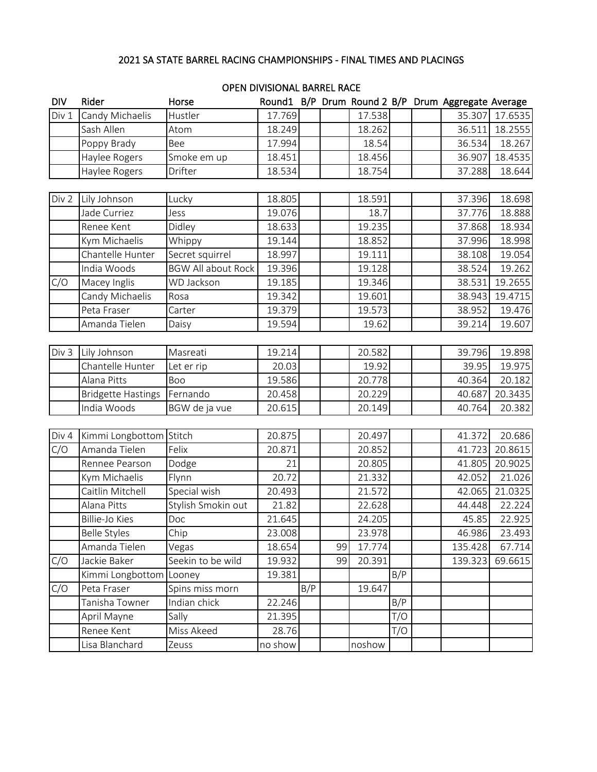## 2021 SA STATE BARREL RACING CHAMPIONSHIPS - FINAL TIMES AND PLACINGS

| <b>DIV</b> | Rider                     | Horse                     |         |     |    |        |     | Round1 B/P Drum Round 2 B/P Drum Aggregate Average |         |
|------------|---------------------------|---------------------------|---------|-----|----|--------|-----|----------------------------------------------------|---------|
| Div 1      | Candy Michaelis           | Hustler                   | 17.769  |     |    | 17.538 |     | 35.307                                             | 17.6535 |
|            | Sash Allen                | Atom                      | 18.249  |     |    | 18.262 |     | 36.511                                             | 18.2555 |
|            | Poppy Brady               | Bee                       | 17.994  |     |    | 18.54  |     | 36.534                                             | 18.267  |
|            | Haylee Rogers             | Smoke em up               | 18.451  |     |    | 18.456 |     | 36.907                                             | 18.4535 |
|            | Haylee Rogers             | Drifter                   | 18.534  |     |    | 18.754 |     | 37.288                                             | 18.644  |
|            |                           |                           |         |     |    |        |     |                                                    |         |
| Div 2      | Lily Johnson              | Lucky                     | 18.805  |     |    | 18.591 |     | 37.396                                             | 18.698  |
|            | Jade Curriez              | Jess                      | 19.076  |     |    | 18.7   |     | 37.776                                             | 18.888  |
|            | Renee Kent                | Didley                    | 18.633  |     |    | 19.235 |     | 37.868                                             | 18.934  |
|            | Kym Michaelis             | Whippy                    | 19.144  |     |    | 18.852 |     | 37.996                                             | 18.998  |
|            | Chantelle Hunter          | Secret squirrel           | 18.997  |     |    | 19.111 |     | 38.108                                             | 19.054  |
|            | India Woods               | <b>BGW All about Rock</b> | 19.396  |     |    | 19.128 |     | 38.524                                             | 19.262  |
| C/O        | Macey Inglis              | WD Jackson                | 19.185  |     |    | 19.346 |     | 38.531                                             | 19.2655 |
|            | Candy Michaelis           | Rosa                      | 19.342  |     |    | 19.601 |     | 38.943                                             | 19.4715 |
|            | Peta Fraser               | Carter                    | 19.379  |     |    | 19.573 |     | 38.952                                             | 19.476  |
|            | Amanda Tielen             | Daisy                     | 19.594  |     |    | 19.62  |     | 39.214                                             | 19.607  |
|            |                           |                           |         |     |    |        |     |                                                    |         |
| Div 3      | Lily Johnson              | Masreati                  | 19.214  |     |    | 20.582 |     | 39.796                                             | 19.898  |
|            | Chantelle Hunter          | Let er rip                | 20.03   |     |    | 19.92  |     | 39.95                                              | 19.975  |
|            | Alana Pitts               | Boo                       | 19.586  |     |    | 20.778 |     | 40.364                                             | 20.182  |
|            | <b>Bridgette Hastings</b> | Fernando                  | 20.458  |     |    | 20.229 |     | 40.687                                             | 20.3435 |
|            | India Woods               | BGW de ja vue             | 20.615  |     |    | 20.149 |     | 40.764                                             | 20.382  |
|            |                           |                           |         |     |    |        |     |                                                    |         |
| Div 4      | Kimmi Longbottom Stitch   |                           | 20.875  |     |    | 20.497 |     | 41.372                                             | 20.686  |
| C/O        | Amanda Tielen             | Felix                     | 20.871  |     |    | 20.852 |     | 41.723                                             | 20.8615 |
|            | Rennee Pearson            | Dodge                     | 21      |     |    | 20.805 |     | 41.805                                             | 20.9025 |
|            | Kym Michaelis             | Flynn                     | 20.72   |     |    | 21.332 |     | 42.052                                             | 21.026  |
|            | Caitlin Mitchell          | Special wish              | 20.493  |     |    | 21.572 |     | 42.065                                             | 21.0325 |
|            | Alana Pitts               | Stylish Smokin out        | 21.82   |     |    | 22.628 |     | 44.448                                             | 22.224  |
|            | <b>Billie-Jo Kies</b>     | Doc                       | 21.645  |     |    | 24.205 |     | 45.85                                              | 22.925  |
|            | <b>Belle Styles</b>       | Chip                      | 23.008  |     |    | 23.978 |     | 46.986                                             | 23.493  |
|            | Amanda Tielen             | Vegas                     | 18.654  |     | 99 | 17.774 |     | 135.428                                            | 67.714  |
| C/O        | Jackie Baker              | Seekin to be wild         | 19.932  |     | 99 | 20.391 |     | 139.323                                            | 69.6615 |
|            | Kimmi Longbottom          | Looney                    | 19.381  |     |    |        | B/P |                                                    |         |
| C/O        | Peta Fraser               | Spins miss morn           |         | B/P |    | 19.647 |     |                                                    |         |
|            | Tanisha Towner            | Indian chick              | 22.246  |     |    |        | B/P |                                                    |         |
|            | April Mayne               | Sally                     | 21.395  |     |    |        | T/O |                                                    |         |
|            | Renee Kent                | Miss Akeed                | 28.76   |     |    |        | T/O |                                                    |         |
|            | Lisa Blanchard            | Zeuss                     | no show |     |    | noshow |     |                                                    |         |

## OPEN DIVISIONAL BARREL RACE